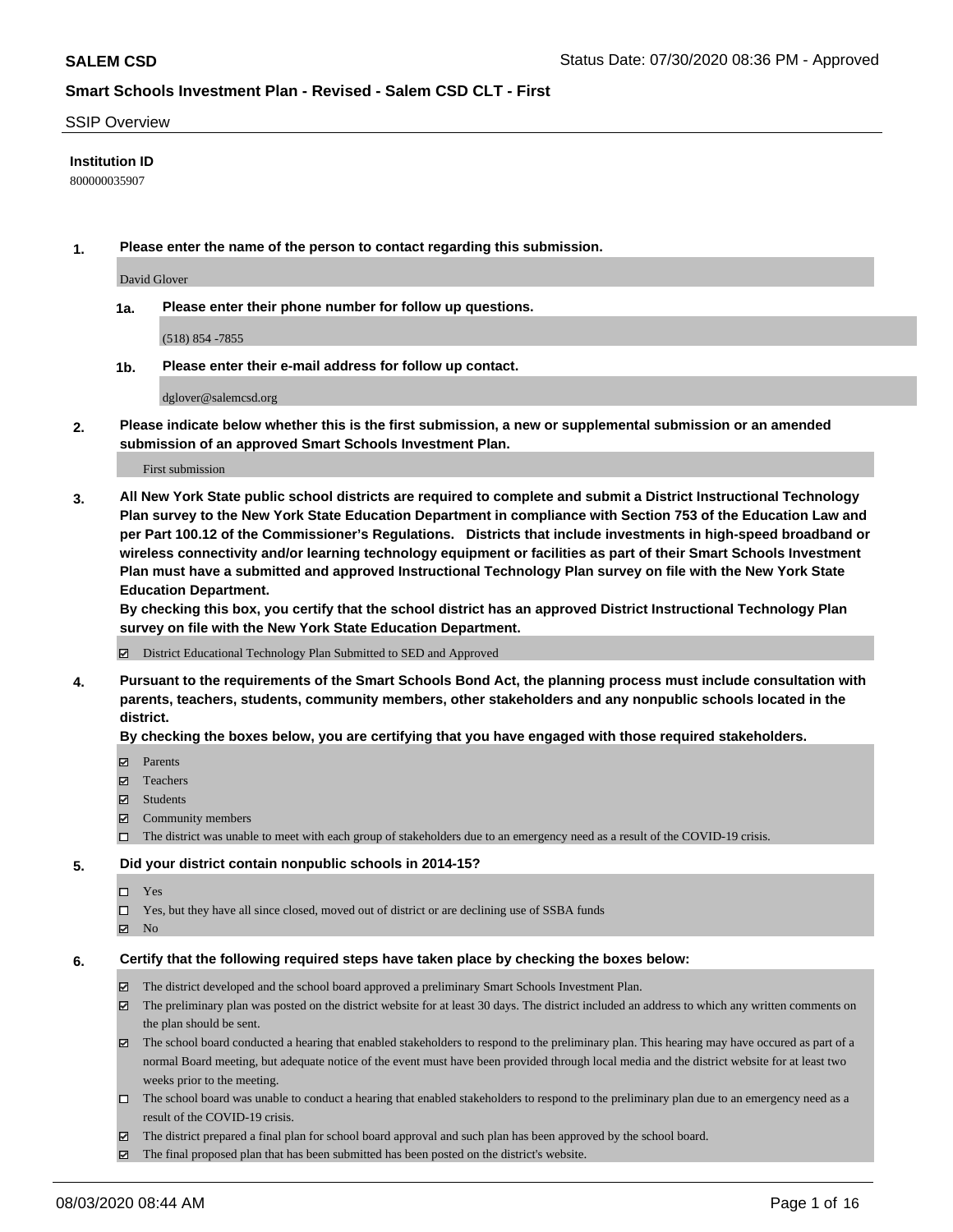#### SSIP Overview

### **Institution ID**

800000035907

**1. Please enter the name of the person to contact regarding this submission.**

David Glover

**1a. Please enter their phone number for follow up questions.**

(518) 854 -7855

**1b. Please enter their e-mail address for follow up contact.**

dglover@salemcsd.org

**2. Please indicate below whether this is the first submission, a new or supplemental submission or an amended submission of an approved Smart Schools Investment Plan.**

#### First submission

**3. All New York State public school districts are required to complete and submit a District Instructional Technology Plan survey to the New York State Education Department in compliance with Section 753 of the Education Law and per Part 100.12 of the Commissioner's Regulations. Districts that include investments in high-speed broadband or wireless connectivity and/or learning technology equipment or facilities as part of their Smart Schools Investment Plan must have a submitted and approved Instructional Technology Plan survey on file with the New York State Education Department.** 

**By checking this box, you certify that the school district has an approved District Instructional Technology Plan survey on file with the New York State Education Department.**

District Educational Technology Plan Submitted to SED and Approved

**4. Pursuant to the requirements of the Smart Schools Bond Act, the planning process must include consultation with parents, teachers, students, community members, other stakeholders and any nonpublic schools located in the district.** 

### **By checking the boxes below, you are certifying that you have engaged with those required stakeholders.**

- **□** Parents
- Teachers
- Students
- $\boxtimes$  Community members
- The district was unable to meet with each group of stakeholders due to an emergency need as a result of the COVID-19 crisis.

#### **5. Did your district contain nonpublic schools in 2014-15?**

- $\neg$  Yes
- Yes, but they have all since closed, moved out of district or are declining use of SSBA funds
- **Z** No

#### **6. Certify that the following required steps have taken place by checking the boxes below:**

- The district developed and the school board approved a preliminary Smart Schools Investment Plan.
- $\boxtimes$  The preliminary plan was posted on the district website for at least 30 days. The district included an address to which any written comments on the plan should be sent.
- The school board conducted a hearing that enabled stakeholders to respond to the preliminary plan. This hearing may have occured as part of a normal Board meeting, but adequate notice of the event must have been provided through local media and the district website for at least two weeks prior to the meeting.
- The school board was unable to conduct a hearing that enabled stakeholders to respond to the preliminary plan due to an emergency need as a result of the COVID-19 crisis.
- The district prepared a final plan for school board approval and such plan has been approved by the school board.
- $\boxtimes$  The final proposed plan that has been submitted has been posted on the district's website.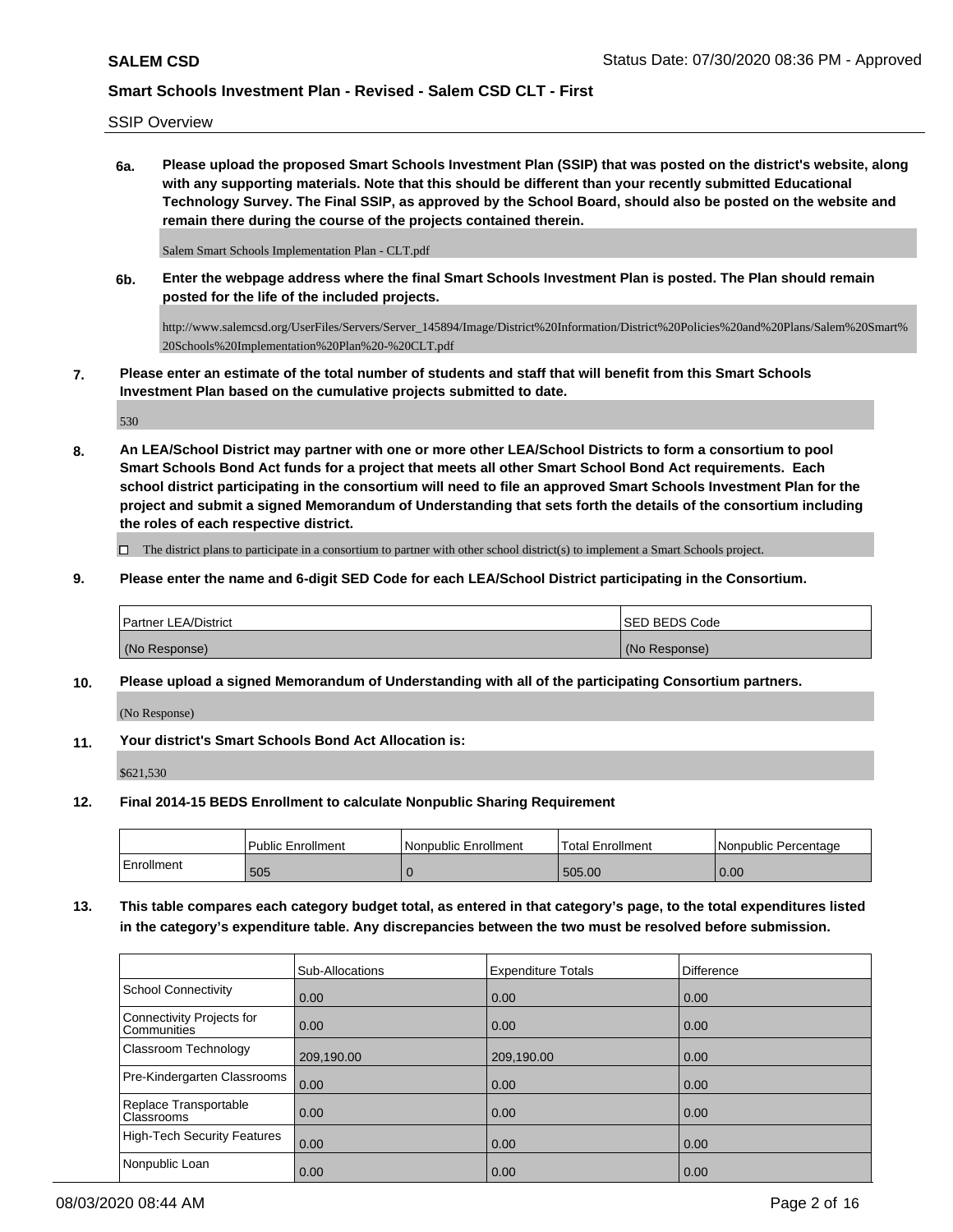SSIP Overview

**6a. Please upload the proposed Smart Schools Investment Plan (SSIP) that was posted on the district's website, along with any supporting materials. Note that this should be different than your recently submitted Educational Technology Survey. The Final SSIP, as approved by the School Board, should also be posted on the website and remain there during the course of the projects contained therein.**

Salem Smart Schools Implementation Plan - CLT.pdf

**6b. Enter the webpage address where the final Smart Schools Investment Plan is posted. The Plan should remain posted for the life of the included projects.**

http://www.salemcsd.org/UserFiles/Servers/Server\_145894/Image/District%20Information/District%20Policies%20and%20Plans/Salem%20Smart% 20Schools%20Implementation%20Plan%20-%20CLT.pdf

**7. Please enter an estimate of the total number of students and staff that will benefit from this Smart Schools Investment Plan based on the cumulative projects submitted to date.**

530

**8. An LEA/School District may partner with one or more other LEA/School Districts to form a consortium to pool Smart Schools Bond Act funds for a project that meets all other Smart School Bond Act requirements. Each school district participating in the consortium will need to file an approved Smart Schools Investment Plan for the project and submit a signed Memorandum of Understanding that sets forth the details of the consortium including the roles of each respective district.**

 $\Box$  The district plans to participate in a consortium to partner with other school district(s) to implement a Smart Schools project.

**9. Please enter the name and 6-digit SED Code for each LEA/School District participating in the Consortium.**

| <b>Partner LEA/District</b> | <b>ISED BEDS Code</b> |
|-----------------------------|-----------------------|
| (No Response)               | (No Response)         |

**10. Please upload a signed Memorandum of Understanding with all of the participating Consortium partners.**

(No Response)

**11. Your district's Smart Schools Bond Act Allocation is:**

\$621,530

**12. Final 2014-15 BEDS Enrollment to calculate Nonpublic Sharing Requirement**

|            | <b>Public Enrollment</b> | Nonpublic Enrollment | Total Enrollment | l Nonpublic Percentage |
|------------|--------------------------|----------------------|------------------|------------------------|
| Enrollment | 505                      |                      | 505.00           | 0.00                   |

**13. This table compares each category budget total, as entered in that category's page, to the total expenditures listed in the category's expenditure table. Any discrepancies between the two must be resolved before submission.**

|                                                 | Sub-Allocations | <b>Expenditure Totals</b> | <b>Difference</b> |
|-------------------------------------------------|-----------------|---------------------------|-------------------|
| School Connectivity                             | 0.00            | 0.00                      | 0.00              |
| Connectivity Projects for<br><b>Communities</b> | 0.00            | 0.00                      | 0.00              |
| Classroom Technology                            | 209,190.00      | 209,190.00                | 0.00              |
| Pre-Kindergarten Classrooms                     | 0.00            | 0.00                      | 0.00              |
| Replace Transportable<br><b>Classrooms</b>      | 0.00            | 0.00                      | 0.00              |
| High-Tech Security Features                     | 0.00            | 0.00                      | 0.00              |
| Nonpublic Loan                                  | 0.00            | 0.00                      | 0.00              |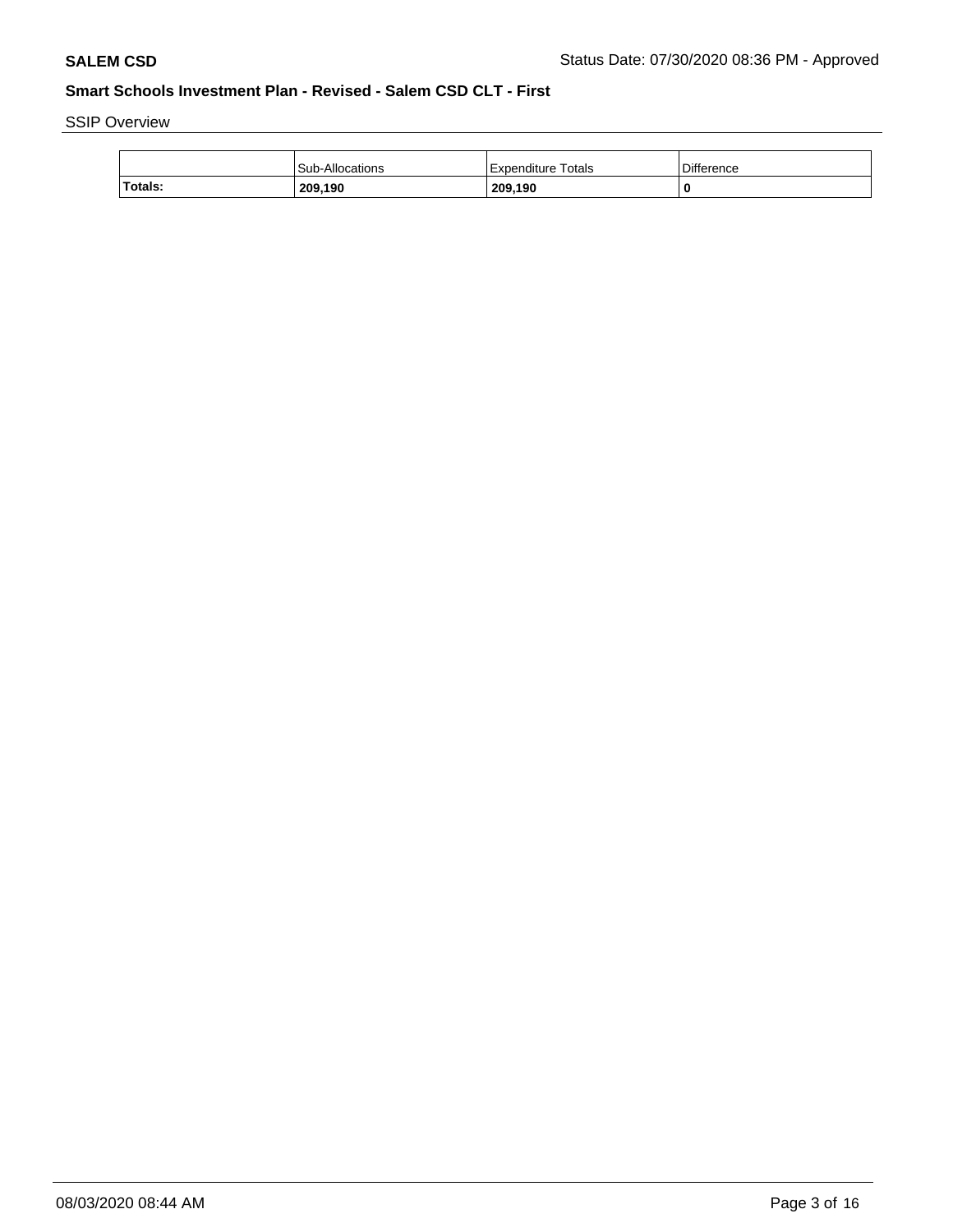SSIP Overview

|         | Sub-Allocations | Expenditure Totals | <b>Difference</b> |
|---------|-----------------|--------------------|-------------------|
| Totals: | 209,190         | 209,190            |                   |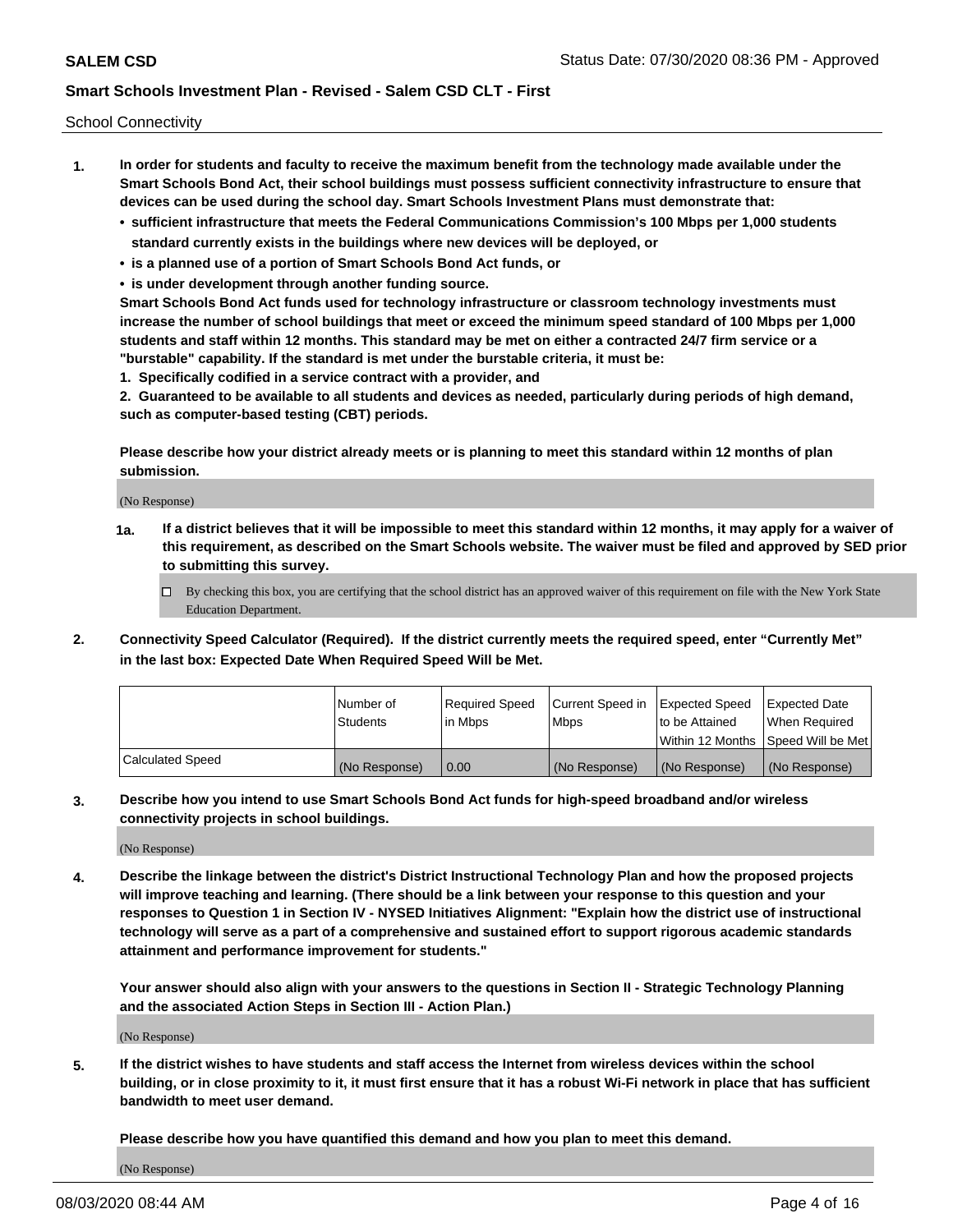School Connectivity

- **1. In order for students and faculty to receive the maximum benefit from the technology made available under the Smart Schools Bond Act, their school buildings must possess sufficient connectivity infrastructure to ensure that devices can be used during the school day. Smart Schools Investment Plans must demonstrate that:**
	- **• sufficient infrastructure that meets the Federal Communications Commission's 100 Mbps per 1,000 students standard currently exists in the buildings where new devices will be deployed, or**
	- **• is a planned use of a portion of Smart Schools Bond Act funds, or**
	- **• is under development through another funding source.**

**Smart Schools Bond Act funds used for technology infrastructure or classroom technology investments must increase the number of school buildings that meet or exceed the minimum speed standard of 100 Mbps per 1,000 students and staff within 12 months. This standard may be met on either a contracted 24/7 firm service or a "burstable" capability. If the standard is met under the burstable criteria, it must be:**

**1. Specifically codified in a service contract with a provider, and**

**2. Guaranteed to be available to all students and devices as needed, particularly during periods of high demand, such as computer-based testing (CBT) periods.**

**Please describe how your district already meets or is planning to meet this standard within 12 months of plan submission.**

(No Response)

**1a. If a district believes that it will be impossible to meet this standard within 12 months, it may apply for a waiver of this requirement, as described on the Smart Schools website. The waiver must be filed and approved by SED prior to submitting this survey.**

 $\Box$  By checking this box, you are certifying that the school district has an approved waiver of this requirement on file with the New York State Education Department.

**2. Connectivity Speed Calculator (Required). If the district currently meets the required speed, enter "Currently Met" in the last box: Expected Date When Required Speed Will be Met.**

|                  | l Number of   | Required Speed | Current Speed in | Expected Speed | Expected Date                           |
|------------------|---------------|----------------|------------------|----------------|-----------------------------------------|
|                  | Students      | In Mbps        | l Mbps           | to be Attained | When Required                           |
|                  |               |                |                  |                | l Within 12 Months ISpeed Will be Met l |
| Calculated Speed | (No Response) | 0.00           | (No Response)    | (No Response)  | (No Response)                           |

**3. Describe how you intend to use Smart Schools Bond Act funds for high-speed broadband and/or wireless connectivity projects in school buildings.**

(No Response)

**4. Describe the linkage between the district's District Instructional Technology Plan and how the proposed projects will improve teaching and learning. (There should be a link between your response to this question and your responses to Question 1 in Section IV - NYSED Initiatives Alignment: "Explain how the district use of instructional technology will serve as a part of a comprehensive and sustained effort to support rigorous academic standards attainment and performance improvement for students."** 

**Your answer should also align with your answers to the questions in Section II - Strategic Technology Planning and the associated Action Steps in Section III - Action Plan.)**

(No Response)

**5. If the district wishes to have students and staff access the Internet from wireless devices within the school building, or in close proximity to it, it must first ensure that it has a robust Wi-Fi network in place that has sufficient bandwidth to meet user demand.**

**Please describe how you have quantified this demand and how you plan to meet this demand.**

(No Response)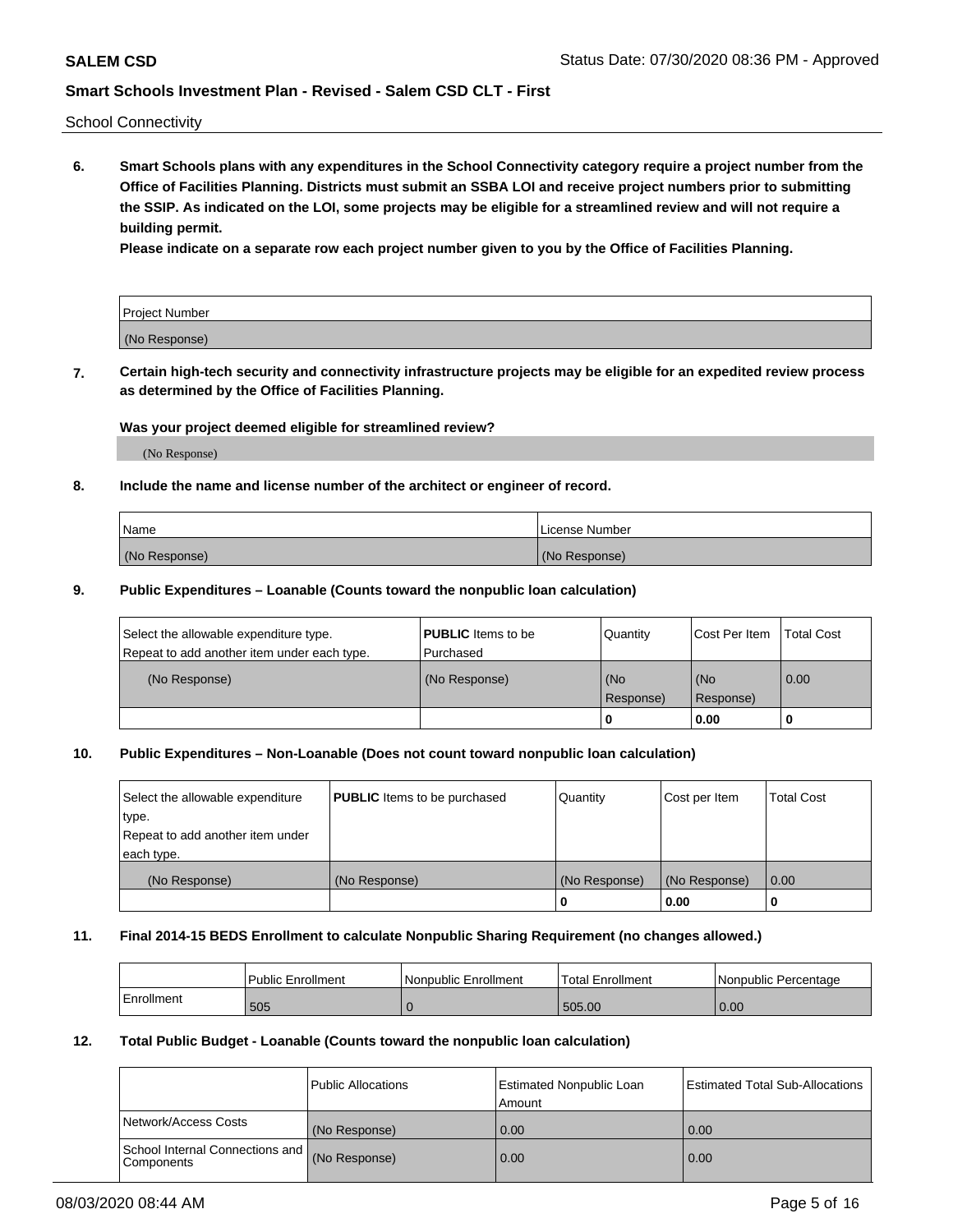School Connectivity

**6. Smart Schools plans with any expenditures in the School Connectivity category require a project number from the Office of Facilities Planning. Districts must submit an SSBA LOI and receive project numbers prior to submitting the SSIP. As indicated on the LOI, some projects may be eligible for a streamlined review and will not require a building permit.**

**Please indicate on a separate row each project number given to you by the Office of Facilities Planning.**

| Project Number |  |
|----------------|--|
| (No Response)  |  |

**7. Certain high-tech security and connectivity infrastructure projects may be eligible for an expedited review process as determined by the Office of Facilities Planning.**

### **Was your project deemed eligible for streamlined review?**

(No Response)

### **8. Include the name and license number of the architect or engineer of record.**

| Name          | License Number |
|---------------|----------------|
| (No Response) | (No Response)  |

### **9. Public Expenditures – Loanable (Counts toward the nonpublic loan calculation)**

| Select the allowable expenditure type.<br>Repeat to add another item under each type. | <b>PUBLIC</b> Items to be<br>l Purchased | Quantity         | l Cost Per Item  | <b>Total Cost</b> |
|---------------------------------------------------------------------------------------|------------------------------------------|------------------|------------------|-------------------|
| (No Response)                                                                         | (No Response)                            | (No<br>Response) | (No<br>Response) | 0.00              |
|                                                                                       |                                          | 0                | 0.00             |                   |

### **10. Public Expenditures – Non-Loanable (Does not count toward nonpublic loan calculation)**

| Select the allowable expenditure<br>type.<br>Repeat to add another item under<br>each type. | <b>PUBLIC</b> Items to be purchased | Quantity      | Cost per Item | <b>Total Cost</b> |
|---------------------------------------------------------------------------------------------|-------------------------------------|---------------|---------------|-------------------|
| (No Response)                                                                               | (No Response)                       | (No Response) | (No Response) | 0.00              |
|                                                                                             |                                     |               | 0.00          |                   |

#### **11. Final 2014-15 BEDS Enrollment to calculate Nonpublic Sharing Requirement (no changes allowed.)**

|            | l Public Enrollment | Nonpublic Enrollment | Total Enrollment | l Nonpublic Percentage |
|------------|---------------------|----------------------|------------------|------------------------|
| Enrollment | 505                 |                      | 505.00           | 0.00                   |

#### **12. Total Public Budget - Loanable (Counts toward the nonpublic loan calculation)**

|                                                      | Public Allocations | <b>Estimated Nonpublic Loan</b><br>Amount | Estimated Total Sub-Allocations |
|------------------------------------------------------|--------------------|-------------------------------------------|---------------------------------|
| Network/Access Costs                                 | (No Response)      | 0.00                                      | 0.00                            |
| School Internal Connections and<br><b>Components</b> | (No Response)      | 0.00                                      | 0.00                            |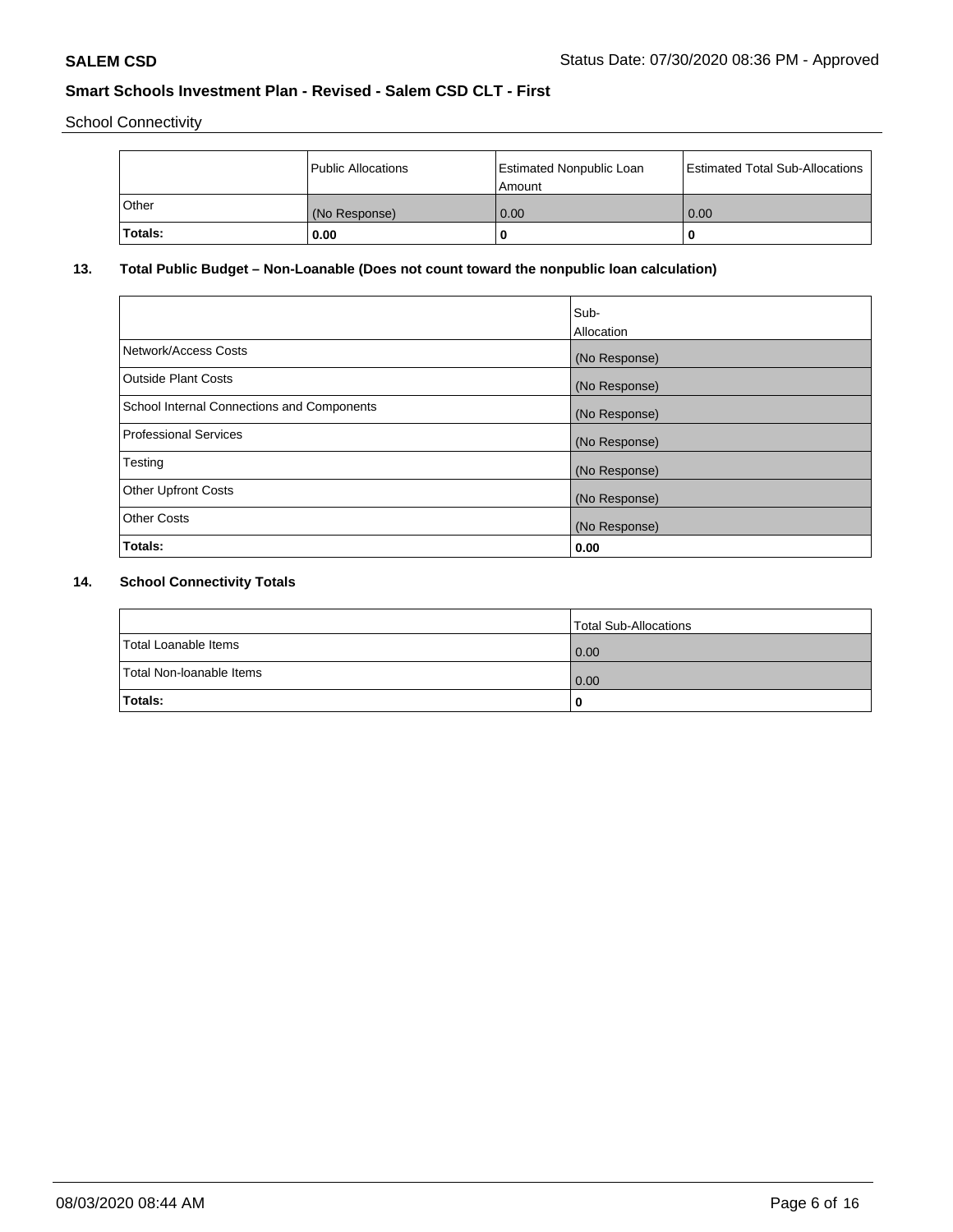School Connectivity

|         | Public Allocations | <b>Estimated Nonpublic Loan</b><br>Amount | <b>Estimated Total Sub-Allocations</b> |
|---------|--------------------|-------------------------------------------|----------------------------------------|
| l Other | (No Response)      | 0.00                                      | 0.00                                   |
| Totals: | 0.00               | 0                                         |                                        |

# **13. Total Public Budget – Non-Loanable (Does not count toward the nonpublic loan calculation)**

| Sub-<br>Allocation |
|--------------------|
| (No Response)      |
| (No Response)      |
| (No Response)      |
| (No Response)      |
| (No Response)      |
| (No Response)      |
| (No Response)      |
| 0.00               |
|                    |

# **14. School Connectivity Totals**

|                          | Total Sub-Allocations |
|--------------------------|-----------------------|
| Total Loanable Items     | 0.00                  |
| Total Non-Ioanable Items | 0.00                  |
| Totals:                  | 0                     |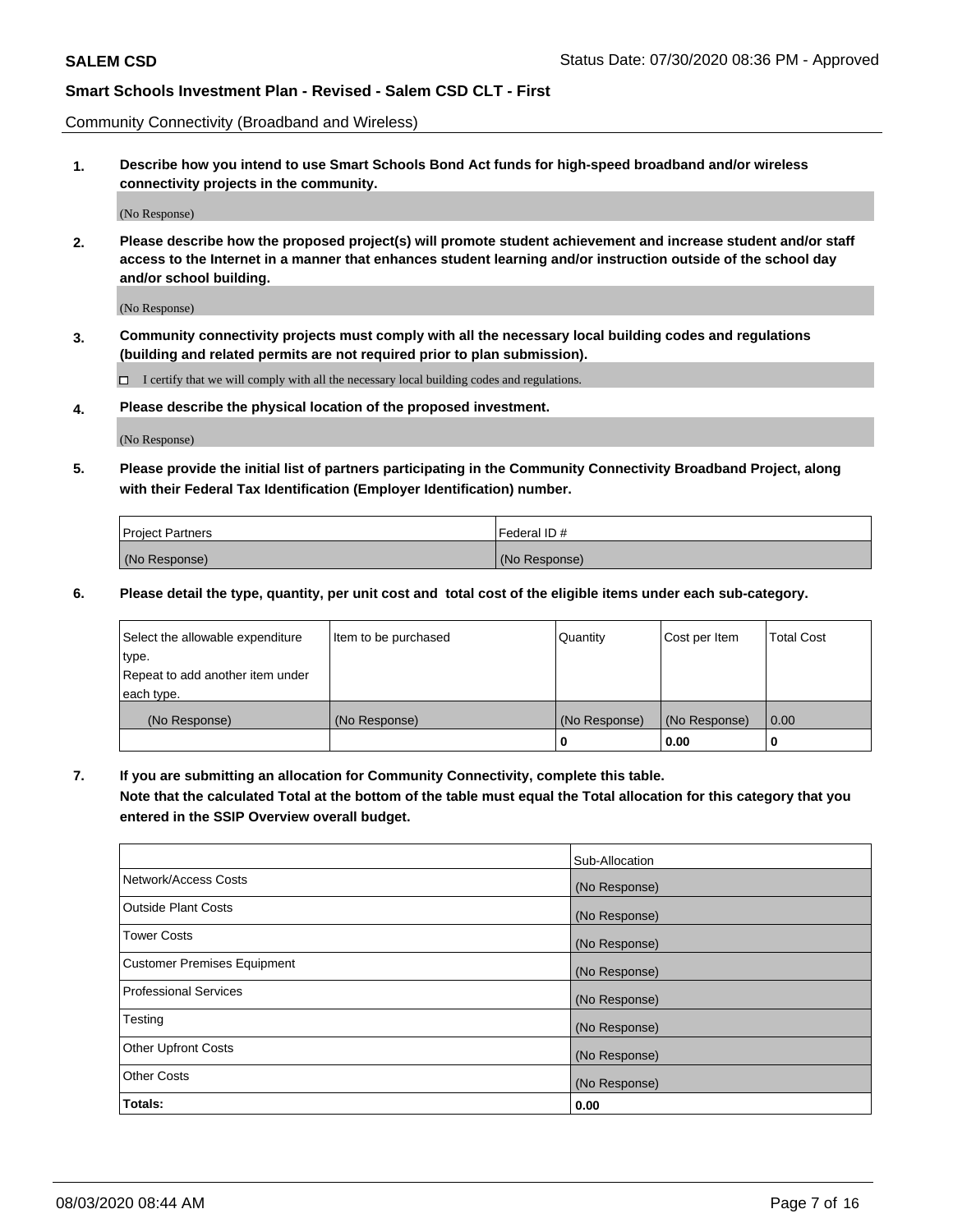Community Connectivity (Broadband and Wireless)

**1. Describe how you intend to use Smart Schools Bond Act funds for high-speed broadband and/or wireless connectivity projects in the community.**

(No Response)

**2. Please describe how the proposed project(s) will promote student achievement and increase student and/or staff access to the Internet in a manner that enhances student learning and/or instruction outside of the school day and/or school building.**

(No Response)

**3. Community connectivity projects must comply with all the necessary local building codes and regulations (building and related permits are not required prior to plan submission).**

 $\Box$  I certify that we will comply with all the necessary local building codes and regulations.

**4. Please describe the physical location of the proposed investment.**

(No Response)

**5. Please provide the initial list of partners participating in the Community Connectivity Broadband Project, along with their Federal Tax Identification (Employer Identification) number.**

| <b>Project Partners</b> | l Federal ID # |
|-------------------------|----------------|
| (No Response)           | (No Response)  |

**6. Please detail the type, quantity, per unit cost and total cost of the eligible items under each sub-category.**

| Select the allowable expenditure | Item to be purchased | Quantity      | Cost per Item | <b>Total Cost</b> |
|----------------------------------|----------------------|---------------|---------------|-------------------|
| type.                            |                      |               |               |                   |
| Repeat to add another item under |                      |               |               |                   |
| each type.                       |                      |               |               |                   |
| (No Response)                    | (No Response)        | (No Response) | (No Response) | 0.00              |
|                                  |                      | U             | 0.00          |                   |

**7. If you are submitting an allocation for Community Connectivity, complete this table.**

**Note that the calculated Total at the bottom of the table must equal the Total allocation for this category that you entered in the SSIP Overview overall budget.**

|                                    | Sub-Allocation |
|------------------------------------|----------------|
| Network/Access Costs               | (No Response)  |
| Outside Plant Costs                | (No Response)  |
| <b>Tower Costs</b>                 | (No Response)  |
| <b>Customer Premises Equipment</b> | (No Response)  |
| <b>Professional Services</b>       | (No Response)  |
| Testing                            | (No Response)  |
| <b>Other Upfront Costs</b>         | (No Response)  |
| <b>Other Costs</b>                 | (No Response)  |
| Totals:                            | 0.00           |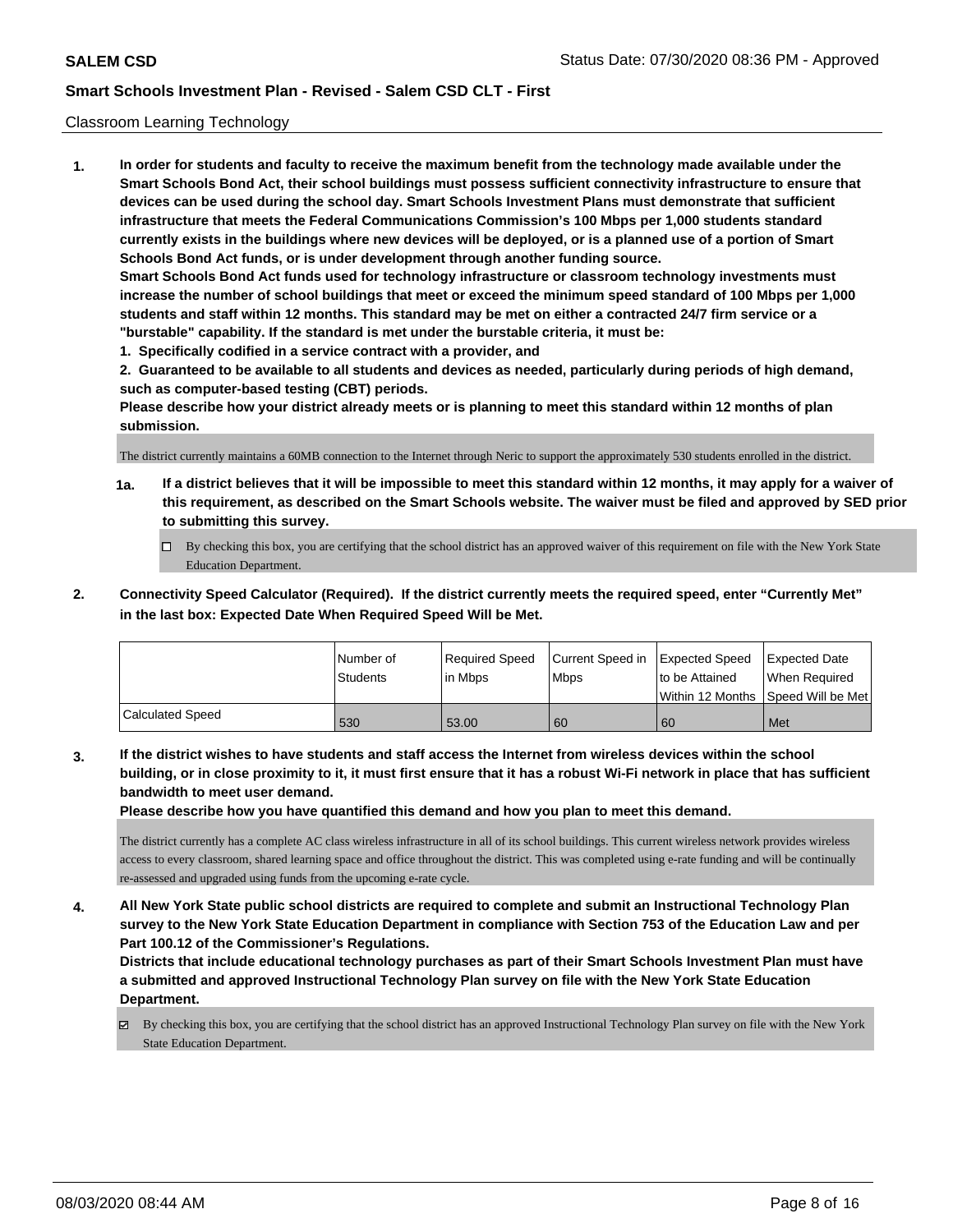### Classroom Learning Technology

**1. In order for students and faculty to receive the maximum benefit from the technology made available under the Smart Schools Bond Act, their school buildings must possess sufficient connectivity infrastructure to ensure that devices can be used during the school day. Smart Schools Investment Plans must demonstrate that sufficient infrastructure that meets the Federal Communications Commission's 100 Mbps per 1,000 students standard currently exists in the buildings where new devices will be deployed, or is a planned use of a portion of Smart Schools Bond Act funds, or is under development through another funding source. Smart Schools Bond Act funds used for technology infrastructure or classroom technology investments must increase the number of school buildings that meet or exceed the minimum speed standard of 100 Mbps per 1,000 students and staff within 12 months. This standard may be met on either a contracted 24/7 firm service or a "burstable" capability. If the standard is met under the burstable criteria, it must be:**

**1. Specifically codified in a service contract with a provider, and**

**2. Guaranteed to be available to all students and devices as needed, particularly during periods of high demand, such as computer-based testing (CBT) periods.**

**Please describe how your district already meets or is planning to meet this standard within 12 months of plan submission.**

The district currently maintains a 60MB connection to the Internet through Neric to support the approximately 530 students enrolled in the district.

- **1a. If a district believes that it will be impossible to meet this standard within 12 months, it may apply for a waiver of this requirement, as described on the Smart Schools website. The waiver must be filed and approved by SED prior to submitting this survey.**
	- By checking this box, you are certifying that the school district has an approved waiver of this requirement on file with the New York State Education Department.
- **2. Connectivity Speed Calculator (Required). If the district currently meets the required speed, enter "Currently Met" in the last box: Expected Date When Required Speed Will be Met.**

|                  | l Number of     | Required Speed | Current Speed in Expected Speed |                | Expected Date                        |
|------------------|-----------------|----------------|---------------------------------|----------------|--------------------------------------|
|                  | <b>Students</b> | l in Mbps      | <b>Mbps</b>                     | to be Attained | When Required                        |
|                  |                 |                |                                 |                | Within 12 Months 1Speed Will be Met1 |
| Calculated Speed | 530             | 53.00          | 60                              | 60             | Met                                  |

**3. If the district wishes to have students and staff access the Internet from wireless devices within the school building, or in close proximity to it, it must first ensure that it has a robust Wi-Fi network in place that has sufficient bandwidth to meet user demand.**

**Please describe how you have quantified this demand and how you plan to meet this demand.**

The district currently has a complete AC class wireless infrastructure in all of its school buildings. This current wireless network provides wireless access to every classroom, shared learning space and office throughout the district. This was completed using e-rate funding and will be continually re-assessed and upgraded using funds from the upcoming e-rate cycle.

**4. All New York State public school districts are required to complete and submit an Instructional Technology Plan survey to the New York State Education Department in compliance with Section 753 of the Education Law and per Part 100.12 of the Commissioner's Regulations.**

**Districts that include educational technology purchases as part of their Smart Schools Investment Plan must have a submitted and approved Instructional Technology Plan survey on file with the New York State Education Department.**

By checking this box, you are certifying that the school district has an approved Instructional Technology Plan survey on file with the New York State Education Department.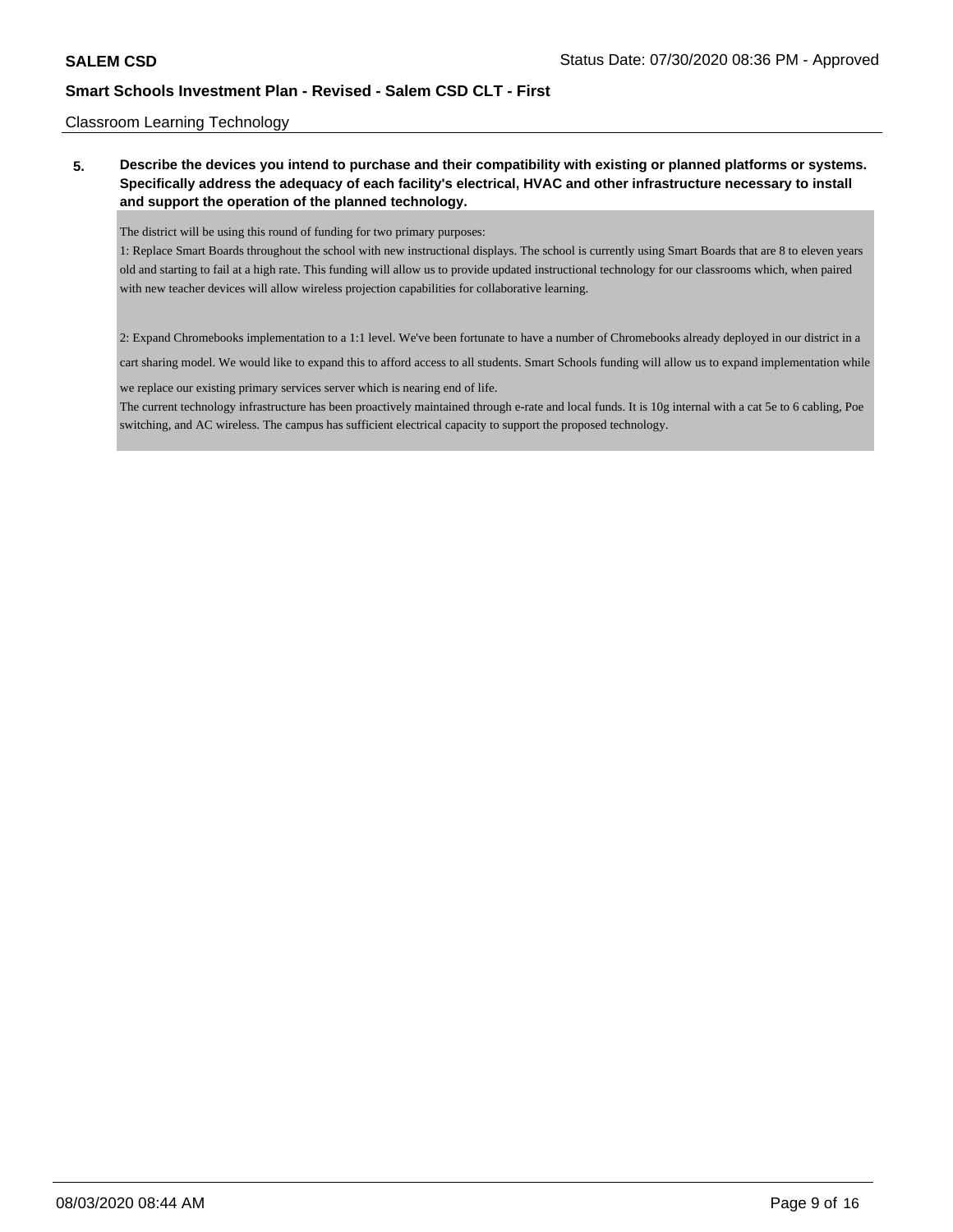### Classroom Learning Technology

**5. Describe the devices you intend to purchase and their compatibility with existing or planned platforms or systems. Specifically address the adequacy of each facility's electrical, HVAC and other infrastructure necessary to install and support the operation of the planned technology.**

The district will be using this round of funding for two primary purposes:

1: Replace Smart Boards throughout the school with new instructional displays. The school is currently using Smart Boards that are 8 to eleven years old and starting to fail at a high rate. This funding will allow us to provide updated instructional technology for our classrooms which, when paired with new teacher devices will allow wireless projection capabilities for collaborative learning.

2: Expand Chromebooks implementation to a 1:1 level. We've been fortunate to have a number of Chromebooks already deployed in our district in a

cart sharing model. We would like to expand this to afford access to all students. Smart Schools funding will allow us to expand implementation while

we replace our existing primary services server which is nearing end of life.

The current technology infrastructure has been proactively maintained through e-rate and local funds. It is 10g internal with a cat 5e to 6 cabling, Poe switching, and AC wireless. The campus has sufficient electrical capacity to support the proposed technology.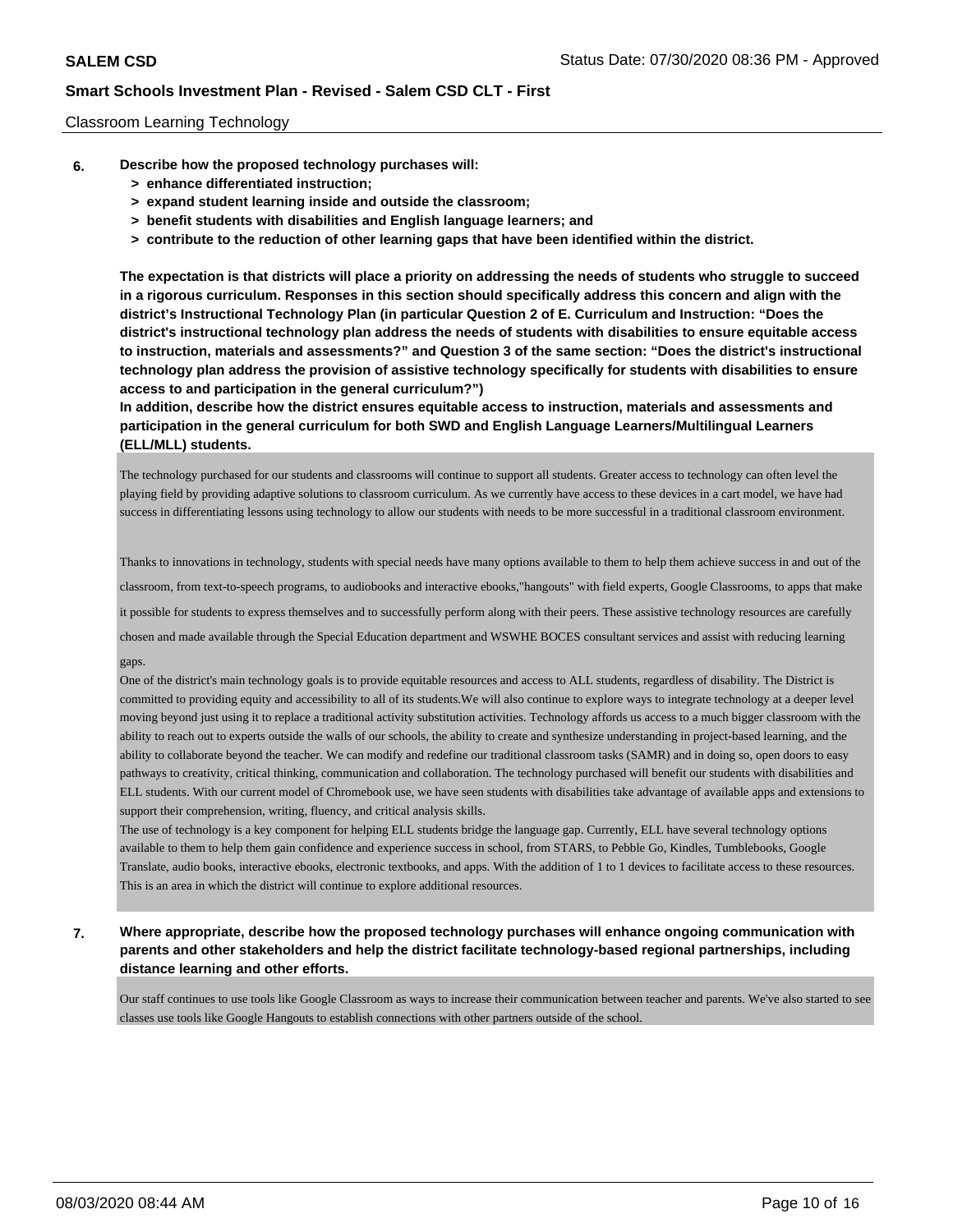### Classroom Learning Technology

- **6. Describe how the proposed technology purchases will:**
	- **> enhance differentiated instruction;**
	- **> expand student learning inside and outside the classroom;**
	- **> benefit students with disabilities and English language learners; and**
	- **> contribute to the reduction of other learning gaps that have been identified within the district.**

**The expectation is that districts will place a priority on addressing the needs of students who struggle to succeed in a rigorous curriculum. Responses in this section should specifically address this concern and align with the district's Instructional Technology Plan (in particular Question 2 of E. Curriculum and Instruction: "Does the district's instructional technology plan address the needs of students with disabilities to ensure equitable access to instruction, materials and assessments?" and Question 3 of the same section: "Does the district's instructional technology plan address the provision of assistive technology specifically for students with disabilities to ensure access to and participation in the general curriculum?")**

**In addition, describe how the district ensures equitable access to instruction, materials and assessments and participation in the general curriculum for both SWD and English Language Learners/Multilingual Learners (ELL/MLL) students.**

The technology purchased for our students and classrooms will continue to support all students. Greater access to technology can often level the playing field by providing adaptive solutions to classroom curriculum. As we currently have access to these devices in a cart model, we have had success in differentiating lessons using technology to allow our students with needs to be more successful in a traditional classroom environment.

Thanks to innovations in technology, students with special needs have many options available to them to help them achieve success in and out of the classroom, from text-to-speech programs, to audiobooks and interactive ebooks,"hangouts" with field experts, Google Classrooms, to apps that make it possible for students to express themselves and to successfully perform along with their peers. These assistive technology resources are carefully chosen and made available through the Special Education department and WSWHE BOCES consultant services and assist with reducing learning gaps.

One of the district's main technology goals is to provide equitable resources and access to ALL students, regardless of disability. The District is committed to providing equity and accessibility to all of its students.We will also continue to explore ways to integrate technology at a deeper level moving beyond just using it to replace a traditional activity substitution activities. Technology affords us access to a much bigger classroom with the ability to reach out to experts outside the walls of our schools, the ability to create and synthesize understanding in project-based learning, and the ability to collaborate beyond the teacher. We can modify and redefine our traditional classroom tasks (SAMR) and in doing so, open doors to easy pathways to creativity, critical thinking, communication and collaboration. The technology purchased will benefit our students with disabilities and ELL students. With our current model of Chromebook use, we have seen students with disabilities take advantage of available apps and extensions to support their comprehension, writing, fluency, and critical analysis skills.

The use of technology is a key component for helping ELL students bridge the language gap. Currently, ELL have several technology options available to them to help them gain confidence and experience success in school, from STARS, to Pebble Go, Kindles, Tumblebooks, Google Translate, audio books, interactive ebooks, electronic textbooks, and apps. With the addition of 1 to 1 devices to facilitate access to these resources. This is an area in which the district will continue to explore additional resources.

**7. Where appropriate, describe how the proposed technology purchases will enhance ongoing communication with parents and other stakeholders and help the district facilitate technology-based regional partnerships, including distance learning and other efforts.**

Our staff continues to use tools like Google Classroom as ways to increase their communication between teacher and parents. We've also started to see classes use tools like Google Hangouts to establish connections with other partners outside of the school.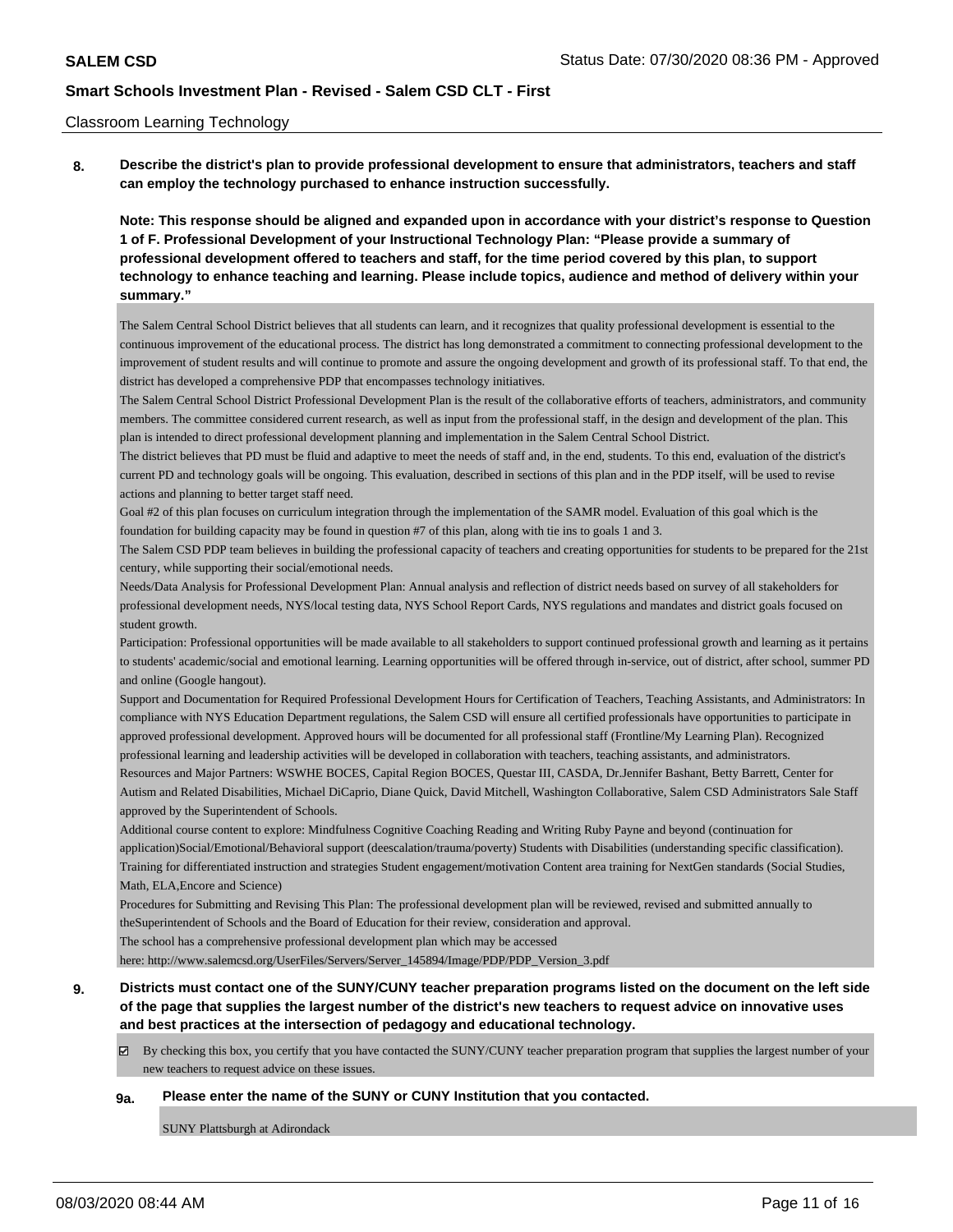#### Classroom Learning Technology

**8. Describe the district's plan to provide professional development to ensure that administrators, teachers and staff can employ the technology purchased to enhance instruction successfully.**

**Note: This response should be aligned and expanded upon in accordance with your district's response to Question 1 of F. Professional Development of your Instructional Technology Plan: "Please provide a summary of professional development offered to teachers and staff, for the time period covered by this plan, to support technology to enhance teaching and learning. Please include topics, audience and method of delivery within your summary."**

The Salem Central School District believes that all students can learn, and it recognizes that quality professional development is essential to the continuous improvement of the educational process. The district has long demonstrated a commitment to connecting professional development to the improvement of student results and will continue to promote and assure the ongoing development and growth of its professional staff. To that end, the district has developed a comprehensive PDP that encompasses technology initiatives.

The Salem Central School District Professional Development Plan is the result of the collaborative efforts of teachers, administrators, and community members. The committee considered current research, as well as input from the professional staff, in the design and development of the plan. This plan is intended to direct professional development planning and implementation in the Salem Central School District.

The district believes that PD must be fluid and adaptive to meet the needs of staff and, in the end, students. To this end, evaluation of the district's current PD and technology goals will be ongoing. This evaluation, described in sections of this plan and in the PDP itself, will be used to revise actions and planning to better target staff need.

Goal #2 of this plan focuses on curriculum integration through the implementation of the SAMR model. Evaluation of this goal which is the foundation for building capacity may be found in question #7 of this plan, along with tie ins to goals 1 and 3.

The Salem CSD PDP team believes in building the professional capacity of teachers and creating opportunities for students to be prepared for the 21st century, while supporting their social/emotional needs.

Needs/Data Analysis for Professional Development Plan: Annual analysis and reflection of district needs based on survey of all stakeholders for professional development needs, NYS/local testing data, NYS School Report Cards, NYS regulations and mandates and district goals focused on student growth.

Participation: Professional opportunities will be made available to all stakeholders to support continued professional growth and learning as it pertains to students' academic/social and emotional learning. Learning opportunities will be offered through in-service, out of district, after school, summer PD and online (Google hangout).

Support and Documentation for Required Professional Development Hours for Certification of Teachers, Teaching Assistants, and Administrators: In compliance with NYS Education Department regulations, the Salem CSD will ensure all certified professionals have opportunities to participate in approved professional development. Approved hours will be documented for all professional staff (Frontline/My Learning Plan). Recognized professional learning and leadership activities will be developed in collaboration with teachers, teaching assistants, and administrators.

Resources and Major Partners: WSWHE BOCES, Capital Region BOCES, Questar III, CASDA, Dr.Jennifer Bashant, Betty Barrett, Center for Autism and Related Disabilities, Michael DiCaprio, Diane Quick, David Mitchell, Washington Collaborative, Salem CSD Administrators Sale Staff approved by the Superintendent of Schools.

Additional course content to explore: Mindfulness Cognitive Coaching Reading and Writing Ruby Payne and beyond (continuation for application)Social/Emotional/Behavioral support (deescalation/trauma/poverty) Students with Disabilities (understanding specific classification). Training for differentiated instruction and strategies Student engagement/motivation Content area training for NextGen standards (Social Studies, Math, ELA,Encore and Science)

Procedures for Submitting and Revising This Plan: The professional development plan will be reviewed, revised and submitted annually to theSuperintendent of Schools and the Board of Education for their review, consideration and approval.

The school has a comprehensive professional development plan which may be accessed

here: http://www.salemcsd.org/UserFiles/Servers/Server\_145894/Image/PDP/PDP\_Version\_3.pdf

## **9. Districts must contact one of the SUNY/CUNY teacher preparation programs listed on the document on the left side of the page that supplies the largest number of the district's new teachers to request advice on innovative uses and best practices at the intersection of pedagogy and educational technology.**

By checking this box, you certify that you have contacted the SUNY/CUNY teacher preparation program that supplies the largest number of your new teachers to request advice on these issues.

#### **9a. Please enter the name of the SUNY or CUNY Institution that you contacted.**

SUNY Plattsburgh at Adirondack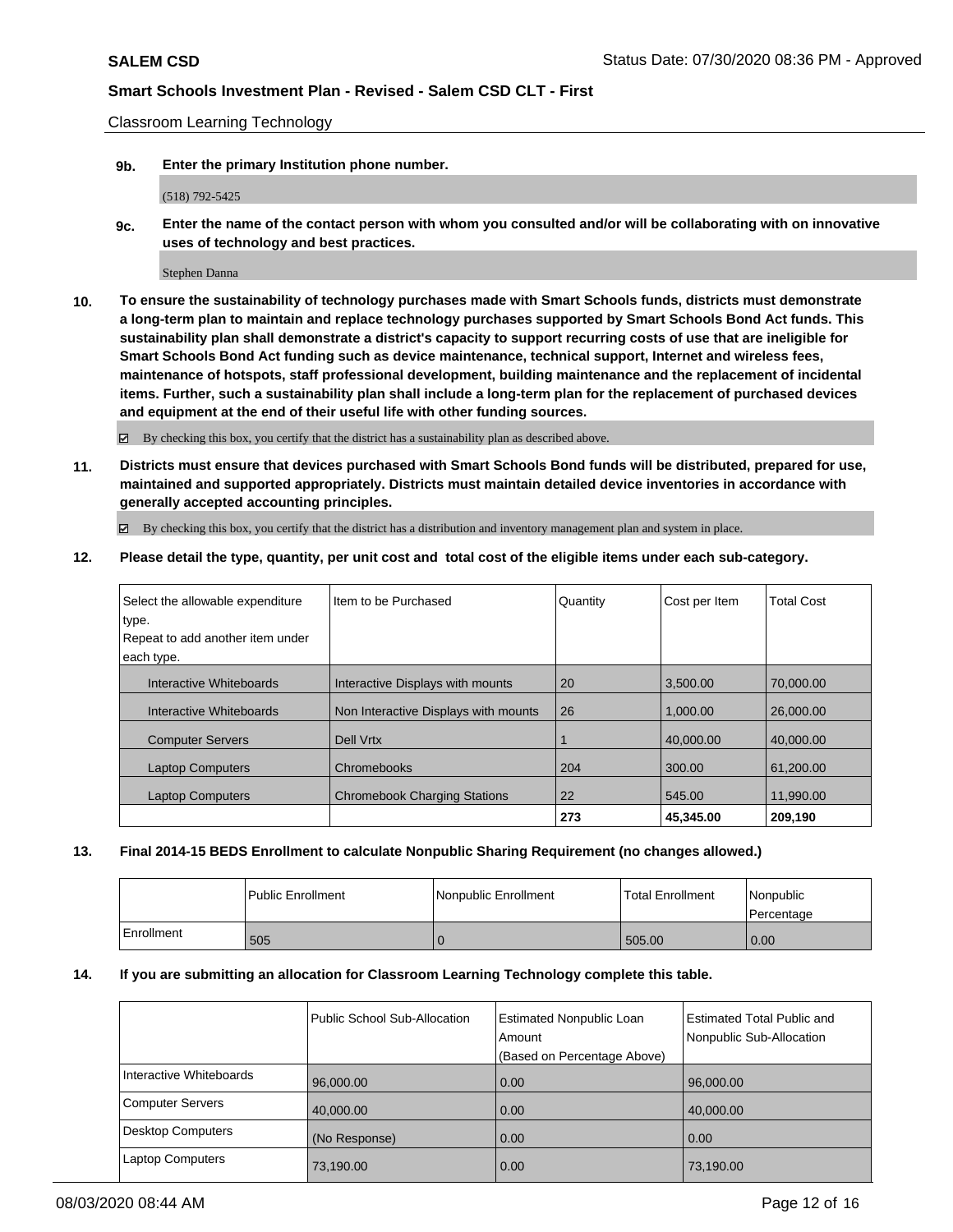Classroom Learning Technology

**9b. Enter the primary Institution phone number.**

(518) 792-5425

**9c. Enter the name of the contact person with whom you consulted and/or will be collaborating with on innovative uses of technology and best practices.**

Stephen Danna

**10. To ensure the sustainability of technology purchases made with Smart Schools funds, districts must demonstrate a long-term plan to maintain and replace technology purchases supported by Smart Schools Bond Act funds. This sustainability plan shall demonstrate a district's capacity to support recurring costs of use that are ineligible for Smart Schools Bond Act funding such as device maintenance, technical support, Internet and wireless fees, maintenance of hotspots, staff professional development, building maintenance and the replacement of incidental items. Further, such a sustainability plan shall include a long-term plan for the replacement of purchased devices and equipment at the end of their useful life with other funding sources.**

By checking this box, you certify that the district has a sustainability plan as described above.

**11. Districts must ensure that devices purchased with Smart Schools Bond funds will be distributed, prepared for use, maintained and supported appropriately. Districts must maintain detailed device inventories in accordance with generally accepted accounting principles.**

By checking this box, you certify that the district has a distribution and inventory management plan and system in place.

**12. Please detail the type, quantity, per unit cost and total cost of the eligible items under each sub-category.**

| Select the allowable expenditure | Item to be Purchased                 | Quantity | Cost per Item | <b>Total Cost</b> |
|----------------------------------|--------------------------------------|----------|---------------|-------------------|
| type.                            |                                      |          |               |                   |
| Repeat to add another item under |                                      |          |               |                   |
| each type.                       |                                      |          |               |                   |
| Interactive Whiteboards          | Interactive Displays with mounts     | 20       | 3.500.00      | 70.000.00         |
| Interactive Whiteboards          | Non Interactive Displays with mounts | 26       | 1.000.00      | 26,000,00         |
| <b>Computer Servers</b>          | Dell Vrtx                            |          | 40.000.00     | 40.000.00         |
| <b>Laptop Computers</b>          | Chromebooks                          | 204      | 300.00        | 61.200.00         |
| <b>Laptop Computers</b>          | <b>Chromebook Charging Stations</b>  | 22       | 545.00        | 11,990.00         |
|                                  |                                      | 273      | 45.345.00     | 209,190           |

**13. Final 2014-15 BEDS Enrollment to calculate Nonpublic Sharing Requirement (no changes allowed.)**

|            | l Public Enrollment | Nonpublic Enrollment | <b>Total Enrollment</b> | l Nonpublic<br>l Percentage |
|------------|---------------------|----------------------|-------------------------|-----------------------------|
| Enrollment | 505                 |                      | 505.00                  | 0.00                        |

### **14. If you are submitting an allocation for Classroom Learning Technology complete this table.**

|                          | Public School Sub-Allocation | Estimated Nonpublic Loan<br>Amount<br>(Based on Percentage Above) | <b>Estimated Total Public and</b><br>Nonpublic Sub-Allocation |
|--------------------------|------------------------------|-------------------------------------------------------------------|---------------------------------------------------------------|
| Interactive Whiteboards  | 96,000.00                    | 0.00                                                              | 96,000.00                                                     |
| <b>Computer Servers</b>  | 40,000.00                    | 0.00                                                              | 40,000.00                                                     |
| <b>Desktop Computers</b> | (No Response)                | 0.00                                                              | 0.00                                                          |
| <b>Laptop Computers</b>  | 73,190.00                    | 0.00                                                              | 73,190.00                                                     |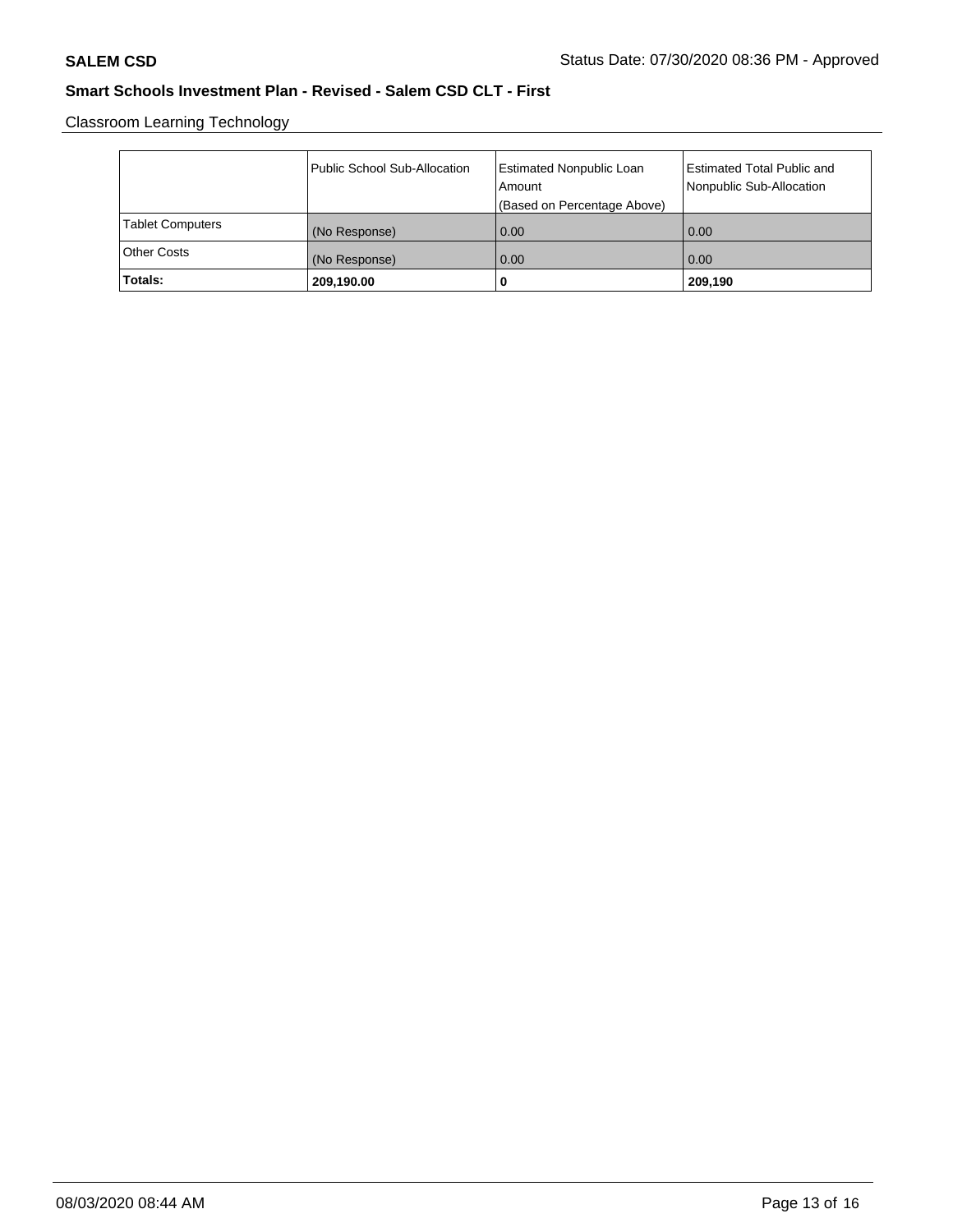Classroom Learning Technology

|                         | Public School Sub-Allocation | Estimated Nonpublic Loan<br>l Amount<br>(Based on Percentage Above) | Estimated Total Public and<br>Nonpublic Sub-Allocation |
|-------------------------|------------------------------|---------------------------------------------------------------------|--------------------------------------------------------|
| <b>Tablet Computers</b> | (No Response)                | 0.00                                                                | 0.00                                                   |
| <b>Other Costs</b>      | (No Response)                | 0.00                                                                | 0.00                                                   |
| Totals:                 | 209,190.00                   | 0                                                                   | 209,190                                                |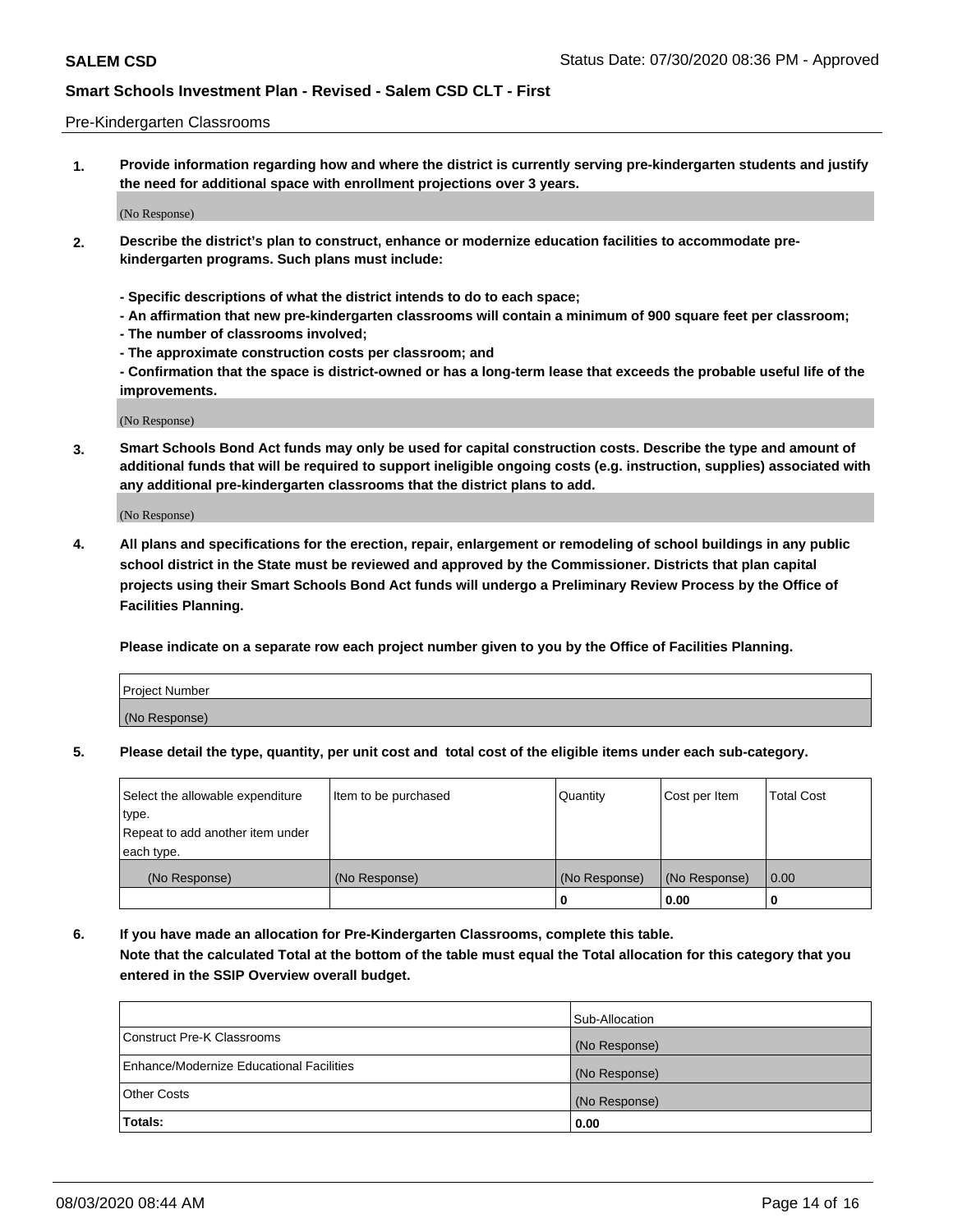#### Pre-Kindergarten Classrooms

**1. Provide information regarding how and where the district is currently serving pre-kindergarten students and justify the need for additional space with enrollment projections over 3 years.**

(No Response)

- **2. Describe the district's plan to construct, enhance or modernize education facilities to accommodate prekindergarten programs. Such plans must include:**
	- **Specific descriptions of what the district intends to do to each space;**
	- **An affirmation that new pre-kindergarten classrooms will contain a minimum of 900 square feet per classroom;**
	- **The number of classrooms involved;**
	- **The approximate construction costs per classroom; and**
	- **Confirmation that the space is district-owned or has a long-term lease that exceeds the probable useful life of the improvements.**

(No Response)

**3. Smart Schools Bond Act funds may only be used for capital construction costs. Describe the type and amount of additional funds that will be required to support ineligible ongoing costs (e.g. instruction, supplies) associated with any additional pre-kindergarten classrooms that the district plans to add.**

(No Response)

**4. All plans and specifications for the erection, repair, enlargement or remodeling of school buildings in any public school district in the State must be reviewed and approved by the Commissioner. Districts that plan capital projects using their Smart Schools Bond Act funds will undergo a Preliminary Review Process by the Office of Facilities Planning.**

**Please indicate on a separate row each project number given to you by the Office of Facilities Planning.**

| Project Number |  |
|----------------|--|
| (No Response)  |  |
|                |  |

**5. Please detail the type, quantity, per unit cost and total cost of the eligible items under each sub-category.**

| Select the allowable expenditure | Item to be purchased | Quantity      | Cost per Item | <b>Total Cost</b> |
|----------------------------------|----------------------|---------------|---------------|-------------------|
| type.                            |                      |               |               |                   |
| Repeat to add another item under |                      |               |               |                   |
| each type.                       |                      |               |               |                   |
| (No Response)                    | (No Response)        | (No Response) | (No Response) | 0.00              |
|                                  |                      | o             | 0.00          | u                 |

**6. If you have made an allocation for Pre-Kindergarten Classrooms, complete this table. Note that the calculated Total at the bottom of the table must equal the Total allocation for this category that you entered in the SSIP Overview overall budget.**

| Totals:                                  | 0.00           |
|------------------------------------------|----------------|
| <b>Other Costs</b>                       | (No Response)  |
| Enhance/Modernize Educational Facilities | (No Response)  |
| Construct Pre-K Classrooms               | (No Response)  |
|                                          | Sub-Allocation |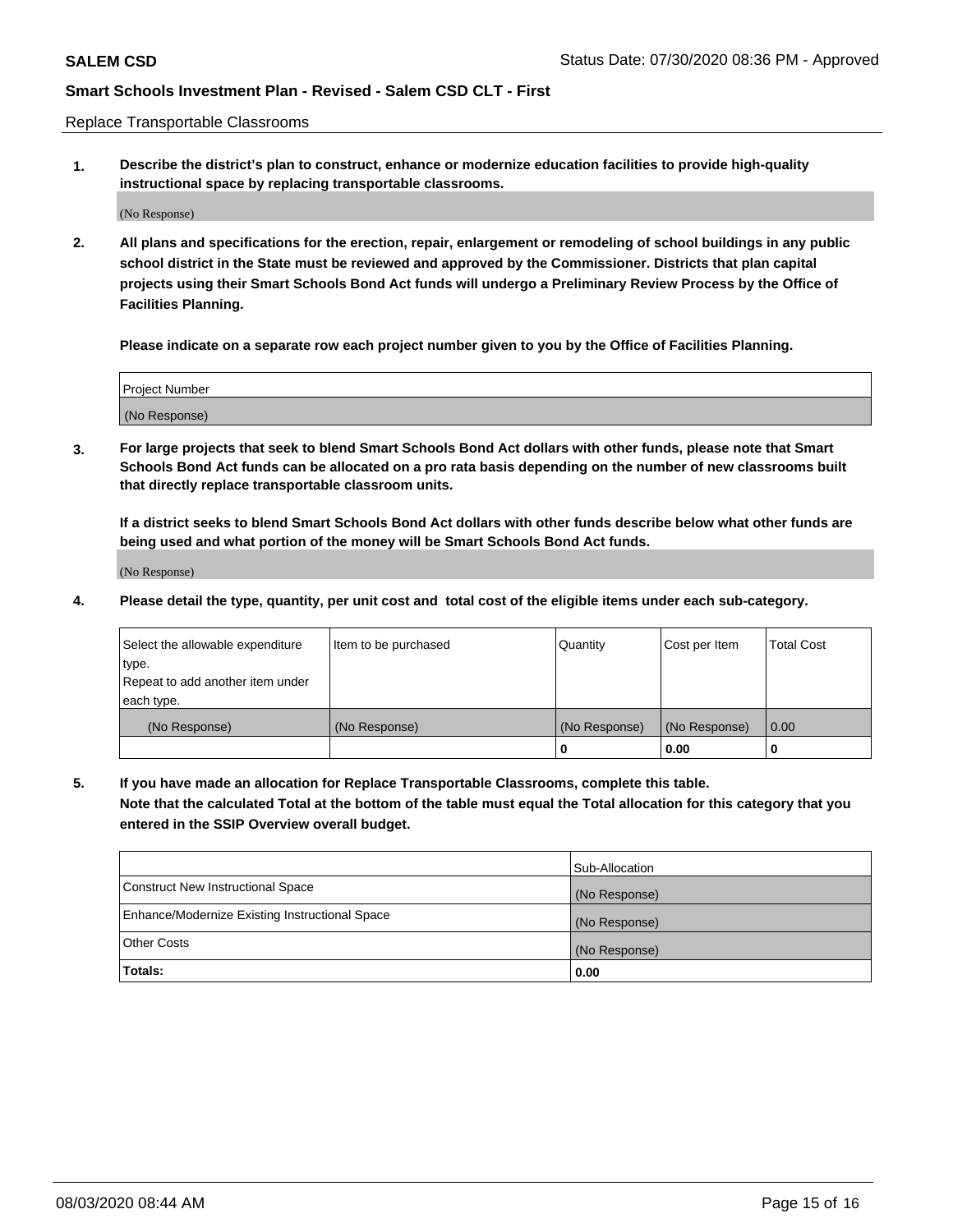Replace Transportable Classrooms

**1. Describe the district's plan to construct, enhance or modernize education facilities to provide high-quality instructional space by replacing transportable classrooms.**

(No Response)

**2. All plans and specifications for the erection, repair, enlargement or remodeling of school buildings in any public school district in the State must be reviewed and approved by the Commissioner. Districts that plan capital projects using their Smart Schools Bond Act funds will undergo a Preliminary Review Process by the Office of Facilities Planning.**

**Please indicate on a separate row each project number given to you by the Office of Facilities Planning.**

| Project Number |  |
|----------------|--|
|                |  |
|                |  |
|                |  |
| (No Response)  |  |
|                |  |
|                |  |

**3. For large projects that seek to blend Smart Schools Bond Act dollars with other funds, please note that Smart Schools Bond Act funds can be allocated on a pro rata basis depending on the number of new classrooms built that directly replace transportable classroom units.**

**If a district seeks to blend Smart Schools Bond Act dollars with other funds describe below what other funds are being used and what portion of the money will be Smart Schools Bond Act funds.**

(No Response)

**4. Please detail the type, quantity, per unit cost and total cost of the eligible items under each sub-category.**

| Select the allowable expenditure | Item to be purchased | Quantity      | Cost per Item | Total Cost |
|----------------------------------|----------------------|---------------|---------------|------------|
| ∣type.                           |                      |               |               |            |
| Repeat to add another item under |                      |               |               |            |
| each type.                       |                      |               |               |            |
| (No Response)                    | (No Response)        | (No Response) | (No Response) | 0.00       |
|                                  |                      | u             | 0.00          |            |

**5. If you have made an allocation for Replace Transportable Classrooms, complete this table. Note that the calculated Total at the bottom of the table must equal the Total allocation for this category that you entered in the SSIP Overview overall budget.**

|                                                | Sub-Allocation |
|------------------------------------------------|----------------|
| Construct New Instructional Space              | (No Response)  |
| Enhance/Modernize Existing Instructional Space | (No Response)  |
| Other Costs                                    | (No Response)  |
| Totals:                                        | 0.00           |